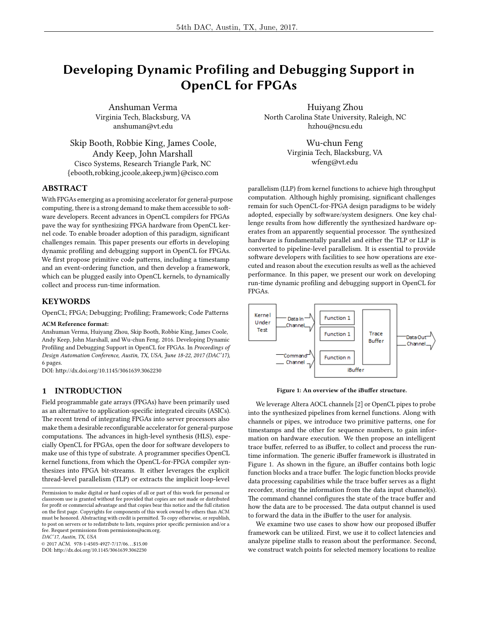# Developing Dynamic Profiling and Debugging Support in OpenCL for FPGAs

Anshuman Verma Virginia Tech, Blacksburg, VA anshuman@vt.edu

Skip Booth, Robbie King, James Coole, Andy Keep, John Marshall Cisco Systems, Research Triangle Park, NC {ebooth,robking,jcoole,akeep,jwm}@cisco.com

# ABSTRACT

With FPGAs emerging as a promising accelerator for general-purpose computing, there is a strong demand to make them accessible to software developers. Recent advances in OpenCL compilers for FPGAs pave the way for synthesizing FPGA hardware from OpenCL kernel code. To enable broader adoption of this paradigm, signicant challenges remain. This paper presents our efforts in developing dynamic profiling and debugging support in OpenCL for FPGAs. We first propose primitive code patterns, including a timestamp and an event-ordering function, and then develop a framework, which can be plugged easily into OpenCL kernels, to dynamically collect and process run-time information.

# **KEYWORDS**

OpenCL; FPGA; Debugging; Profiling; Framework; Code Patterns

#### ACM Reference format:

Anshuman Verma, Huiyang Zhou, Skip Booth, Robbie King, James Coole, Andy Keep, John Marshall, and Wu-chun Feng. 2016. Developing Dynamic Profiling and Debugging Support in OpenCL for FPGAs. In Proceedings of Design Automation Conference, Austin, TX, USA, June 18-22, 2017 (DAC'17), [6](#page-5-0) pages.

DOI: http://dx.doi.org/10.1145/3061639.3062230

# 1 INTRODUCTION

Field programmable gate arrays (FPGAs) have been primarily used as an alternative to application-specific integrated circuits (ASICs). The recent trend of integrating FPGAs into server processors also make them a desirable reconfigurable accelerator for general-purpose computations. The advances in high-level synthesis (HLS), especially OpenCL for FPGAs, open the door for software developers to make use of this type of substrate. A programmer specifies OpenCL kernel functions, from which the OpenCL-for-FPGA compiler synthesizes into FPGA bit-streams. It either leverages the explicit thread-level parallelism (TLP) or extracts the implicit loop-level

DAC'17, Austin, TX, USA

© 2017 ACM. 978-1-4503-4927-7/17/06. . . \$15.00 DOI: http://dx.doi.org/10.1145/3061639.3062230

Huiyang Zhou North Carolina State University, Raleigh, NC hzhou@ncsu.edu

> Wu-chun Feng Virginia Tech, Blacksburg, VA wfeng@vt.edu

parallelism (LLP) from kernel functions to achieve high throughput computation. Although highly promising, significant challenges remain for such OpenCL-for-FPGA design paradigms to be widely adopted, especially by software/system designers. One key challenge results from how differently the synthesized hardware operates from an apparently sequential processor. The synthesized hardware is fundamentally parallel and either the TLP or LLP is converted to pipeline-level parallelism. It is essential to provide software developers with facilities to see how operations are executed and reason about the execution results as well as the achieved performance. In this paper, we present our work on developing run-time dynamic profiling and debugging support in OpenCL for FPGAs.

<span id="page-0-0"></span>

Figure 1: An overview of the iBuffer structure.

We leverage Altera AOCL channels [\[2\]](#page-5-1) or OpenCL pipes to probe into the synthesized pipelines from kernel functions. Along with channels or pipes, we introduce two primitive patterns, one for timestamps and the other for sequence numbers, to gain information on hardware execution. We then propose an intelligent trace buffer, referred to as iBuffer, to collect and process the runtime information. The generic iBuffer framework is illustrated in Figure [1.](#page-0-0) As shown in the figure, an iBuffer contains both logic function blocks and a trace buffer. The logic function blocks provide data processing capabilities while the trace buffer serves as a flight recorder, storing the information from the data input channel(s). The command channel configures the state of the trace buffer and how the data are to be processed. The data output channel is used to forward the data in the iBuffer to the user for analysis.

We examine two use cases to show how our proposed iBuffer framework can be utilized. First, we use it to collect latencies and analyze pipeline stalls to reason about the performance. Second, we construct watch points for selected memory locations to realize

Permission to make digital or hard copies of all or part of this work for personal or classroom use is granted without fee provided that copies are not made or distributed for profit or commercial advantage and that copies bear this notice and the full citation on the first page. Copyrights for components of this work owned by others than  $\rm{ACM}$ must be honored. Abstracting with credit is permitted. To copy otherwise, or republish, to post on servers or to redistribute to lists, requires prior specific permission and/or a fee. Request permissions from permissions@acm.org.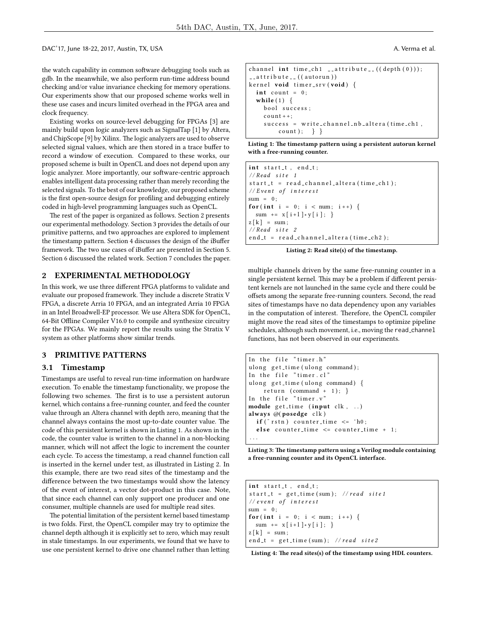DAC'17, June 18-22, 2017, Austin, TX, USA.

the watch capability in common software debugging tools such as gdb. In the meanwhile, we also perform run-time address bound checking and/or value invariance checking for memory operations. Our experiments show that our proposed scheme works well in these use cases and incurs limited overhead in the FPGA area and clock frequency.

Existing works on source-level debugging for FPGAs [\[3\]](#page-5-2) are mainly build upon logic analyzers such as SignalTap [\[1\]](#page-5-3) by Altera, and ChipScope [\[9\]](#page-5-4) by Xilinx. The logic analyzers are used to observe selected signal values, which are then stored in a trace buffer to record a window of execution. Compared to these works, our proposed scheme is built in OpenCL and does not depend upon any logic analyzer. More importantly, our software-centric approach enables intelligent data processing rather than merely recording the selected signals. To the best of our knowledge, our proposed scheme is the first open-source design for profiling and debugging entirely coded in high-level programming languages such as OpenCL.

The rest of the paper is organized as follows. Section [2](#page-1-0) presents our experimental methodology. Section [3](#page-1-1) provides the details of our primitive patterns, and two approaches are explored to implement the timestamp pattern. Section [4](#page-3-0) discusses the design of the iBuffer framework. The two use cases of iBuffer are presented in Section [5.](#page-3-1) Section [6](#page-5-5) discussed the related work. Section [7](#page-5-6) concludes the paper.

## <span id="page-1-0"></span>2 EXPERIMENTAL METHODOLOGY

In this work, we use three different FPGA platforms to validate and evaluate our proposed framework. They include a discrete Stratix V FPGA, a discrete Arria 10 FPGA, and an integrated Arria 10 FPGA in an Intel Broadwell-EP processor. We use Altera SDK for OpenCL, 64-Bit Offline Compiler V16.0 to compile and synthesize circuitry for the FPGAs. We mainly report the results using the Stratix V system as other platforms show similar trends.

# <span id="page-1-1"></span>3 PRIMITIVE PATTERNS

#### <span id="page-1-6"></span>3.1 Timestamp

Timestamps are useful to reveal run-time information on hardware execution. To enable the timestamp functionality, we propose the following two schemes. The first is to use a persistent autorun kernel, which contains a free-running counter, and feed the counter value through an Altera channel with depth zero, meaning that the channel always contains the most up-to-date counter value. The code of this persistent kernel is shown in Listing [1.](#page-1-2) As shown in the code, the counter value is written to the channel in a non-blocking manner, which will not affect the logic to increment the counter each cycle. To access the timestamp, a read channel function call is inserted in the kernel under test, as illustrated in Listing [2.](#page-1-3) In this example, there are two read sites of the timestamp and the difference between the two timestamps would show the latency of the event of interest, a vector dot-product in this case. Note, that since each channel can only support one producer and one consumer, multiple channels are used for multiple read sites.

The potential limitation of the persistent kernel based timestamp is two folds. First, the OpenCL compiler may try to optimize the channel depth although it is explicitly set to zero, which may result in stale timestamps. In our experiments, we found that we have to use one persistent kernel to drive one channel rather than letting

| A. Verma et al. |  |
|-----------------|--|
|                 |  |

```
channel int time_ch1 __attribute__((depth(0)));\text{1} at t r i b u t e \text{1} ( ( autorun ) )
kernel void timer_srv(void) {
  int count = 0;
  while (1) {
    bool success;
    count++:success = write_channel_nb_altera(time_ch1,
         count \} } }
```
Listing 1: The timestamp pattern using a persistent autorun kernel with a free-running counter.

<span id="page-1-3"></span>int start\_t, end\_t;  $// Read site 1$  $start_t = read_c channel_alter$  (time\_ch1);  $// Event of interest$  $sum = 0$ ; for (int i = 0; i < num; i++) {  $\text{sum} \;\; \; + = \;\; \mathbf{x} \; [\; \mathbf{i} + \mathbf{l} \;] \; * \; \mathbf{y} \; [\; \mathbf{i} \;] \; ; \quad \, \}$  $z[k] = sum;$  $// Read site 2$ end\_t = read\_channel\_altera (time\_ch2);

Listing 2: Read site(s) of the timestamp.

multiple channels driven by the same free-running counter in a single persistent kernel. This may be a problem if different persistent kernels are not launched in the same cycle and there could be offsets among the separate free-running counters. Second, the read sites of timestamps have no data dependency upon any variables in the computation of interest. Therefore, the OpenCL compiler might move the read sites of the timestamps to optimize pipeline schedules, although such movement, i.e., moving the read\_channel functions, has not been observed in our experiments.

```
In the file "timer.h"
ulong get_time (ulong command);
In the file "timer.cl"
ulong get_time (ulong command) {
    r e turn (command + 1);In the file "timer.v"
module get_time (input clk, ..)
always \omega(posedge clk)
  if (\tilde{r} r s t n) counter_time \leq 'h0;
  else counter_time \le counter_time + 1;
. . .
```
Listing 3: The timestamp pattern using a Verilog module containing a free-running counter and its OpenCL interface.

<span id="page-1-5"></span>int start\_t, end\_t;  $start_t = get_time (sum); // read site1$  $// event of interest$  $sum = 0$ : for (int i = 0; i < num; i++) { sum +=  $x[i+1]*y[i];$  $z[k] = sum;$ end\_t = get\_time (sum); //read site2

| Listing 4: The read sites(s) of the timestamp using HDL counters. |  |  |  |
|-------------------------------------------------------------------|--|--|--|
|-------------------------------------------------------------------|--|--|--|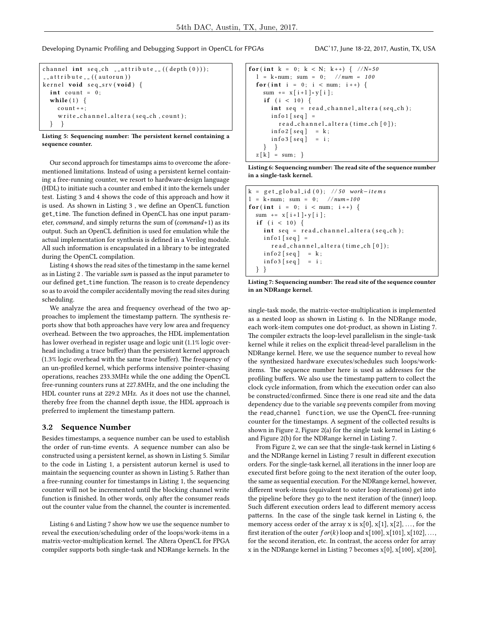Developing Dynamic Profiling and Debugging Support in OpenCL for FPGAs DAC'17, June 18-22, 2017, Austin, TX, USA

```
channel int seq_ch __attribute__((\text{depth}(0))));
\text{1} attribute \text{1} ((autorun))
kernel void seq_srv(void) {
  int count = 0;
  while (1) \{count++;write_channel_altera (seq_ch, count);
     } }
```
Listing 5: Sequencing number: The persistent kernel containing a sequence counter.

Our second approach for timestamps aims to overcome the aforementioned limitations. Instead of using a persistent kernel containing a free-running counter, we resort to hardware-design language (HDL) to initiate such a counter and embed it into the kernels under test. Listing [3](#page-1-4) and [4](#page-1-5) shows the code of this approach and how it is used. As shown in Listing [3](#page-1-4), we define an OpenCL function get\_time. The function defined in OpenCL has one input parameter, command, and simply returns the sum of (command+1) as its output. Such an OpenCL definition is used for emulation while the actual implementation for synthesis is defined in a Verilog module. All such information is encapsulated in a library to be integrated during the OpenCL compilation.

Listing [4](#page-1-5) shows the read sites of the timestamp in the same kernel as in Listing [2](#page-1-3). The variable sum is passed as the input parameter to our defined get\_time function. The reason is to create dependency so as to avoid the compiler accidentally moving the read sites during scheduling.

We analyze the area and frequency overhead of the two approaches to implement the timestamp pattern. The synthesis reports show that both approaches have very low area and frequency overhead. Between the two approaches, the HDL implementation has lower overhead in register usage and logic unit (1.1% logic overhead including a trace buffer) than the persistent kernel approach  $(1.3\%$  logic overhead with the same trace buffer). The frequency of an un-profiled kernel, which performs intensive pointer-chasing operations, reaches 233.3MHz while the one adding the OpenCL free-running counters runs at 227.8MHz, and the one including the HDL counter runs at 229.2 MHz. As it does not use the channel, thereby free from the channel depth issue, the HDL approach is preferred to implement the timestamp pattern.

## 3.2 Sequence Number

Besides timestamps, a sequence number can be used to establish the order of run-time events. A sequence number can also be constructed using a persistent kernel, as shown in Listing [5.](#page-2-0) Similar to the code in Listing [1,](#page-1-2) a persistent autorun kernel is used to maintain the sequencing counter as shown in Listing [5.](#page-2-0) Rather than a free-running counter for timestamps in Listing [1,](#page-1-2) the sequencing counter will not be incremented until the blocking channel write function is finished. In other words, only after the consumer reads out the counter value from the channel, the counter is incremented.

Listing [6](#page-2-1) and Listing [7](#page-2-2) show how we use the sequence number to reveal the execution/scheduling order of the loops/work-items in a matrix-vector-multiplication kernel. The Altera OpenCL for FPGA compiler supports both single-task and NDRange kernels. In the

```
for (int k = 0; k < N; k++) { //N=50l = k * num; sum = 0; //num = 100
  for (int i = 0; i < num; i++) {
    sum += x[i+1] * y[i];if (i < 10) {
      int \text{sq} = \text{read\_channel\_altera}(\text{seq\_ch});info1 [seq] =read_channel_altera (time_ch [0]);
      info2 [seq] = k;info3 [seq] = i;} }
  z [ k ] = sum;
```
Listing 6: Sequencing number: The read site of the sequence number in a single-task kernel.

```
k = g e t g l o b a l i d ( 0 ) ; / / 50 work−i t e m s
l = k*num; sum = 0; // num=100for (int i = 0; i < num; i++) {
  sum += x [ i + 1 ] * y [ i ] ;if (i < 10) {
     int \text{seq} = \text{read\_channel\_altera}(\text{seq\_ch});info1 [seq] =
       read_channel_altera(time_ch[0]);
     info2[seq] = k;info3 [seq] = i;} }
```

```
Listing 7: Sequencing number: The read site of the sequence counter
in an NDRange kernel.
```
single-task mode, the matrix-vector-multiplication is implemented as a nested loop as shown in Listing [6.](#page-2-1) In the NDRange mode, each work-item computes one dot-product, as shown in Listing [7.](#page-2-2) The compiler extracts the loop-level parallelism in the single-task kernel while it relies on the explicit thread-level parallelism in the NDRange kernel. Here, we use the sequence number to reveal how the synthesized hardware executes/schedules such loops/workitems. The sequence number here is used as addresses for the profiling buffers. We also use the timestamp pattern to collect the clock cycle information, from which the execution order can also be constructed/confirmed. Since there is one read site and the data dependency due to the variable seq prevents compiler from moving the read channel function, we use the OpenCL free-running counter for the timestamps. A segment of the collected results is shown in Figure [2,](#page-3-2) Figure [2\(](#page-3-2)a) for the single task kernel in Listing [6](#page-2-1) and Figure [2\(](#page-3-2)b) for the NDRange kernel in Listing [7.](#page-2-2)

From Figure [2,](#page-3-2) we can see that the single-task kernel in Listing [6](#page-2-1) and the NDRange kernel in Listing [7](#page-2-2) result in different execution orders. For the single-task kernel, all iterations in the inner loop are executed first before going to the next iteration of the outer loop, the same as sequential execution. For the NDRange kernel, however, different work-items (equivalent to outer loop iterations) get into the pipeline before they go to the next iteration of the (inner) loop. Such different execution orders lead to different memory access patterns. In the case of the single task kernel in Listing [6,](#page-2-1) the memory access order of the array x is  $x[0], x[1], x[2], ...,$  for the first iteration of the outer  $for(k)$  loop and  $x[100]$ ,  $x[101]$ ,  $x[102]$ , ..., for the second iteration, etc. In contrast, the access order for array x in the NDRange kernel in Listing [7](#page-2-2) becomes x[0], x[100], x[200],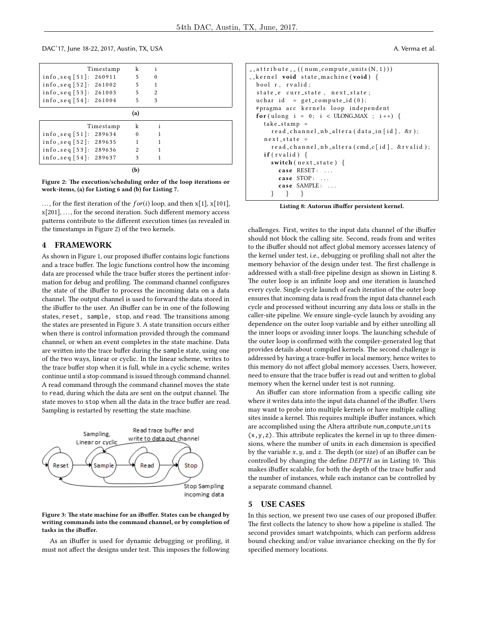DAC'17, June 18-22, 2017, Austin, TX, USA A. Verma et al.

<span id="page-3-2"></span>

| Timestamp                   | k              | Ť |  |
|-----------------------------|----------------|---|--|
| $info\_seq[51]:$<br>260911  | 5              | 0 |  |
| info_seq $[52]$ : 261002    | 5              |   |  |
| info_seq $[53]$ : 261003    | 5              | 2 |  |
| info_seq $[54]$ : 261004    | 5              | 3 |  |
|                             | (a)            |   |  |
| Timestamp                   | k              |   |  |
| $info\_seq$ [51]:<br>289634 | $\Omega$       |   |  |
| info_seq $[52]$ : 289635    |                |   |  |
| info_seq $[53]$ : 289636    | $\mathfrak{D}$ |   |  |
| info_seq [54]: 289637       | 3              |   |  |
|                             | (b)            |   |  |

Figure 2: The execution/scheduling order of the loop iterations or work-items, (a) for Listing [6](#page-2-1) and (b) for Listing [7.](#page-2-2)

..., for the first iteration of the  $for(i)$  loop, and then  $x[1]$ ,  $x[101]$ ,  $x[201], \ldots$ , for the second iteration. Such different memory access patterns contribute to the different execution times (as revealed in the timestamps in Figure [2\)](#page-3-2) of the two kernels.

## <span id="page-3-0"></span>4 FRAMEWORK

As shown in Figure [1,](#page-0-0) our proposed iBuffer contains logic functions and a trace buffer. The logic functions control how the incoming data are processed while the trace buffer stores the pertinent information for debug and profiling. The command channel configures the state of the iBuffer to process the incoming data on a data channel. The output channel is used to forward the data stored in the iBuffer to the user. An iBuffer can be in one of the following states, reset, sample, stop, and read. The transitions among the states are presented in Figure [3.](#page-3-3) A state transition occurs either when there is control information provided through the command channel, or when an event completes in the state machine. Data are written into the trace buffer during the sample state, using one of the two ways, linear or cyclic. In the linear scheme, writes to the trace buffer stop when it is full, while in a cyclic scheme, writes continue until a stop command is issued through command channel. A read command through the command channel moves the state to read, during which the data are sent on the output channel. The state moves to stop when all the data in the trace buffer are read. Sampling is restarted by resetting the state machine.

<span id="page-3-3"></span>

#### Figure 3: The state machine for an iBuffer. States can be changed by writing commands into the command channel, or by completion of tasks in the iBuffer.

As an iBuffer is used for dynamic debugging or profiling, it must not affect the designs under test. This imposes the following

```
_{--} at t r i b u t e _{--} ((n um _ compute _ units (N, 1)))
__kernel void state_machine (void) {
  bool r, rvalid;
  state_e curr_state, next_state;
  u char id = get_{\text{compute} \text{id}}(0);# pragma acc kernels loop independent
  for (ulong i = 0; i < ULONG MAX ; i +) {
    take\_ stamp =read_channel_nb_altera (data_in[id], &r);
    next\_state =read_channel_nb_altera (cmd_c[id], &rvalid);
    if (rvalid) \{switch (next-state) {
         case RESET: ...
         case STOP: ...
         case SAMPLE: ...
           } } }
```
Listing 8: Autorun iBuffer persistent kernel.

challenges. First, writes to the input data channel of the iBuffer should not block the calling site. Second, reads from and writes to the iBuffer should not affect global memory accesses latency of the kernel under test, i.e., debugging or profiling shall not alter the memory behavior of the design under test. The first challenge is addressed with a stall-free pipeline design as shown in Listing [8.](#page-3-4) The outer loop is an infinite loop and one iteration is launched every cycle. Single-cycle launch of each iteration of the outer loop ensures that incoming data is read from the input data channel each cycle and processed without incurring any data loss or stalls in the caller-site pipeline. We ensure single-cycle launch by avoiding any dependence on the outer loop variable and by either unrolling all the inner loops or avoiding inner loops. The launching schedule of the outer loop is confirmed with the compiler-generated log that provides details about compiled kernels. The second challenge is addressed by having a trace-buffer in local memory, hence writes to this memory do not affect global memory accesses. Users, however, need to ensure that the trace buffer is read out and written to global memory when the kernel under test is not running.

An iBuffer can store information from a specific calling site where it writes data into the input data channel of the iBuffer. Users may want to probe into multiple kernels or have multiple calling sites inside a kernel. This requires multiple iBuffer instances, which are accomplished using the Altera attribute num\_compute\_units  $(x,y,z)$ . This attribute replicates the kernel in up to three dimensions, where the number of units in each dimension is specified by the variable  $x, y$ , and  $z$ . The depth (or size) of an iBuffer can be controlled by changing the define  $DEPTH$  as in Listing [10.](#page-4-0) This makes iBuffer scalable, for both the depth of the trace buffer and the number of instances, while each instance can be controlled by a separate command channel.

#### <span id="page-3-1"></span>5 USE CASES

In this section, we present two use cases of our proposed iBuffer. The first collects the latency to show how a pipeline is stalled. The second provides smart watchpoints, which can perform address bound checking and/or value invariance checking on the fly for specified memory locations.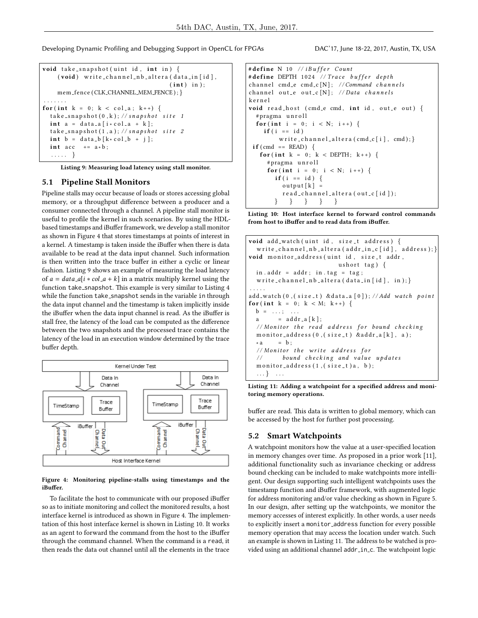Developing Dynamic Profiling and Debugging Support in OpenCL for FPGAs DAC'17, June 18-22, 2017, Austin, TX, USA

```
void take_snapshot (uint id, int in) {
    (void) write_channel_nb_altera (data_in[id],
                                      (int) in );mem_fence (CLK_CHANNEL_MEM_FENCE); }
. . . . . . .
for (int k = 0; k < col_a; k + 1) {
  take\_snapshot(0, k); // snapshot site 1int a = data_a[i \times col_a + k];take\_snapshot(1, a); //snapshot site 2
  int b = data_b[k*col_b + j];int acc + = a * b;
  . . . . . }
```
Listing 9: Measuring load latency using stall monitor.

## 5.1 Pipeline Stall Monitors

Pipeline stalls may occur because of loads or stores accessing global memory, or a throughput difference between a producer and a consumer connected through a channel. A pipeline stall monitor is useful to profile the kernel in such scenarios. By using the HDLbased timestamps and iBuffer framework, we develop a stall monitor as shown in Figure [4](#page-4-1) that stores timestamps at points of interest in a kernel. A timestamp is taken inside the iBuffer when there is data available to be read at the data input channel. Such information is then written into the trace buffer in either a cyclic or linear fashion. Listing [9](#page-4-2) shows an example of measuring the load latency of  $a = data_a[i * col_a + k]$  in a matrix multiply kernel using the function take\_snapshot. This example is very similar to Listing [4](#page-1-5) while the function take\_snapshot sends in the variable in through the data input channel and the timestamp is taken implicitly inside the iBuffer when the data input channel is read. As the iBuffer is stall free, the latency of the load can be computed as the difference between the two snapshots and the processed trace contains the latency of the load in an execution window determined by the trace buffer depth.

<span id="page-4-1"></span>

Figure 4: Monitoring pipeline-stalls using timestamps and the iBuffer.

To facilitate the host to communicate with our proposed iBuffer so as to initiate monitoring and collect the monitored results, a host interface kernel is introduced as shown in Figure [4.](#page-4-1) The implementation of this host interface kernel is shown in Listing [10.](#page-4-0) It works as an agent to forward the command from the host to the iBuffer through the command channel. When the command is a read, it then reads the data out channel until all the elements in the trace

```
# define N 10 // iBuffer Count
# define DEPTH 1024 // Trace buffer depth
channel cmd_e cmd_c [N]; //Command channels
channel out_e out_c [N]; // Data channelsk e r n e l
void read_host (cmd_e cmd, int id, out_e out) {
  # pragma unroll
  for (int i = 0; i < N; i++) {
    if ( i == id )write_channel_altera(cmd_c[i], cmd); }
 if (cmd == READ) { }for (int k = 0; k < DEPTH; k++) {
     # pragma unroll
     for (int i = 0; i < N; i++) {
       if (i == id) {
          output[k] =r e a d _ c h a n n e l _ a l t e r a ( o u t _ c [ i d ] );
       } } } } }
```
Listing 10: Host interface kernel to forward control commands from host to iBuffer and to read data from iBuffer.

```
void add_watch(uint id, size_t address) {
  write_channel_nb_altera(addr_in_c[id], address); }
void monitor_address (uint id, size_t addr,
                          ushort tag) \{in . addr = addr ; in . tag = tag ;write_channel_nb_altera (data_in [id], in); }
. . . . .
add_watch(0,(size_t) &data_a[0]); //Add watch point
for (int k = 0; k < M; k++) {
 \mathbf{b} = \ldots; \ldots.a = addr_a[k];// Monitor the read address for bound checking
  m on i t or _a d d r e s s (0, (size_t) & a d d r _a [k], a );
  \ast a = b ;
  // Monitor the write address for
  // bound checking and value updates
  monitor_address(1, (size_t)a, b);
  \ldots} \ldots
```
Listing 11: Adding a watchpoint for a specified address and monitoring memory operations.

buffer are read. This data is written to global memory, which can be accessed by the host for further post processing.

# 5.2 Smart Watchpoints

A watchpoint monitors how the value at a user-specified location in memory changes over time. As proposed in a prior work [\[11\]](#page-5-7), additional functionality such as invariance checking or address bound checking can be included to make watchpoints more intelligent. Our design supporting such intelligent watchpoints uses the timestamp function and iBuffer framework, with augmented logic for address monitoring and/or value checking as shown in Figure [5.](#page-5-8) In our design, after setting up the watchpoints, we monitor the memory accesses of interest explicitly. In other words, a user needs to explicitly insert a monitor address function for every possible memory operation that may access the location under watch. Such an example is shown in Listing [11.](#page-4-3) The address to be watched is provided using an additional channel addr\_in\_c. The watchpoint logic